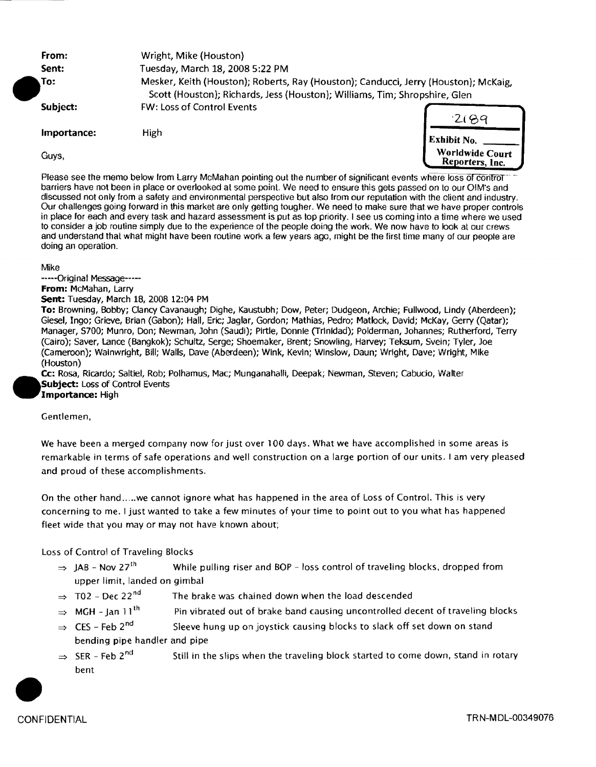From: Wright, Mike (Houston) **Sent:** Tuesday, March 18, 2008 5:22 PM .To: Subject: Importance: Mesker, Keith (Houston); Roberts, Ray (Houston); Canducci, Jerry (Houston); McKaig, Scott (Houston); Richards, Jess (Houston); Williams, Tim; Shropshire, Glen<br>FW: Loss of Control Events High Exhibit No.



Please see the memo below from Larry McMahan pointing out the number of significant events where loss of control barriers have not been in place or overlooked at some point. We need to ensure this gets passed on to our OIM's and discussed not only from a safety and environmental perspective but also from our reputation with the client and industry. Our challenges going forward in this market are only getting tougher. We need to make sure that we have proper controls in place for each and every task and hazard assessment is put as top priority. I see us coming into a time where we used to consider a job routine simply due to the experience of the people doing the work. We now have to look at our crews and understand that what might have been routine work a few years ago, might be the first time many of our people are doing an operation.

Mike

-----Original Message----- From: McMahan, larry Sent: Tuesday, March 18, 2008 12:04 PM To: Browning, Bobby; Clancy Cavanaugh; Dighe, Kaustubh; Dow, Peter; Dudgeon, Archie; Fullwood, Lindy (Aberdeen); Giesel, Ingo; Grieve, Brian (Gabon); Hall, Eric; Jaglar, Gordon; Mathias, Pedro; Matlock, David; McKay, Gerry (Qatar); Manager, 5700; Munro, Don; Newman, John (Saudi); Pirtle, Donnie (Trinidad); Polderman, Johannes; Rutherford, Terry (Cairo); Saver, lance (Bangkok); Schultz, Serge; Shoemaker, Brent; Snowling, Harvey; Teksum, Svein; Tyler, Joe (Cameroon); Wainwright, Bill; Walls, Dave (Aberdeen); Wink, Kevin; Winslow, Daun; Wright, Dave; Wright, Mike (Houston)

Cc: Rosa, Ricardo; Saltiel, Rob; Polhamus, Mac; Munganahalli, Deepak; Newman, Steven; Cabucio, Walter Subject: Loss of Control Events Importance: High

Gentlemen,

•

We have been a merged company now for just over 100 days. What we have accomplished in some areas is remarkable in terms of safe operations and well construction on a large portion of our units. I am very pleased and proud of these accomplishments.

On the other hand ..... we cannot ignore what has happened in the area of Loss of Control. This is very concerning to me. I just wanted to take a few minutes of your time to point out to you what has happened fleet wide that you may or may not have known about;

Loss of Control of Traveling Blocks

- $\Rightarrow$  JAB Nov 27<sup>th</sup> While pulling riser and BOP loss control of traveling blocks, dropped from upper limit, landed on gimbal
- $\Rightarrow$  T02 Dec 22<sup>nd</sup> The brake was chained down when the load descended
- $\Rightarrow$  MGH lan 11<sup>th</sup> Pin vibrated out of brake band causing uncontrolled decent of traveling blocks
- $\Rightarrow$  CES Feb 2<sup>nd</sup> Sleeve hung up on joystick causing blocks to slack off set down on stand bending pipe handler and pipe
- $\Rightarrow$  SER Feb 2<sup>nd</sup> bent Still in the slips when the traveling block started to come down, stand in rotary

**CONFIDENTIAL**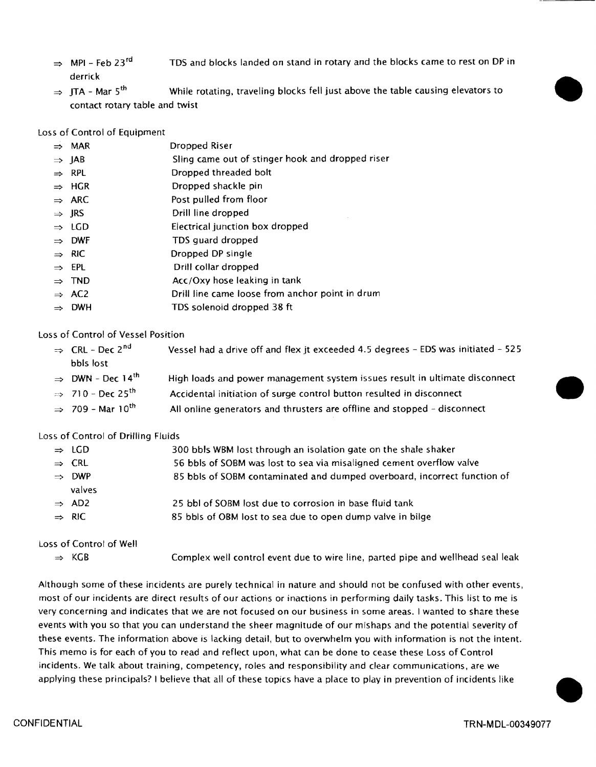- $\Rightarrow$  MPI Feb 23<sup>rd</sup> derrick TDS and blocks landed on stand in rotary and the blocks came to rest on DP in
- $\Rightarrow$  ITA Mar 5<sup>th</sup> While rotating, traveling blocks fell just above the table causing elevators to contact rotary table and twist

Loss of Control of Equipment

| $\Rightarrow$ MAR | Dropped Riser                                    |
|-------------------|--------------------------------------------------|
| $\Rightarrow$ IAB | Sling came out of stinger hook and dropped riser |

- $\Rightarrow$  RPL Dropped threaded bolt
- $\Rightarrow$  HGR Dropped shackle pin
- $\Rightarrow$  ARC Post pulled from floor
- $\Rightarrow$  JRS Drill line dropped
- $\Rightarrow$  LGD Electrical junction box dropped
- $\Rightarrow$  DWF TDS guard dropped
- $\Rightarrow$  RIC Dropped DP single
- $\Rightarrow$  EPL Drill collar dropped
- $\Rightarrow$  TND Acc/Oxy hose leaking in tank
- $\Rightarrow$  AC2 Drill line came loose from anchor point in drum
- $\Rightarrow$  DWH TDS solenoid dropped 38 ft

Loss of Control of Vessel Position

| $\Rightarrow$ CRL - Dec 2 <sup>nd</sup>  | Vessel had a drive off and flex jt exceeded 4.5 degrees - EDS was initiated - 525 |
|------------------------------------------|-----------------------------------------------------------------------------------|
| bbls lost                                |                                                                                   |
| $\Rightarrow$ DWN - Dec 14 <sup>th</sup> | High loads and power management system issues result in ultimate disconnect       |
| $\Rightarrow$ 710 - Dec 25 <sup>th</sup> | Accidental initiation of surge control button resulted in disconnect              |
| $\Rightarrow$ 709 - Mar 10 <sup>th</sup> | All online generators and thrusters are offline and stopped - disconnect          |
|                                          |                                                                                   |

Loss of Control of Drilling Fluids

| $\Rightarrow$ LGD | 300 bbls WBM lost through an isolation gate on the shale shaker          |
|-------------------|--------------------------------------------------------------------------|
| $\Rightarrow$ CRL | 56 bbls of SOBM was lost to sea via misaligned cement overflow valve     |
| $\Rightarrow$ DWP | 85 bbls of SOBM contaminated and dumped overboard, incorrect function of |
| valves            |                                                                          |
| $\Rightarrow$ AD2 | 25 bbl of SOBM lost due to corrosion in base fluid tank                  |
| $\Rightarrow$ RIC | 85 bbls of OBM lost to sea due to open dump valve in bilge               |
|                   |                                                                          |

Loss of Control of Well

 $\Rightarrow$  KGB Complex well control event due to wire line, parted pipe and wellhead seal leak

Although some ofthese incidents are purely technical in nature and should not be confused with other events, most of our incidents are direct results of our actions or inactions in performing daily tasks. This list to me is very concerning and indicates that we are not focused on our business in some areas. I wanted to share these events with you so that you can understand the sheer magnitude of our mishaps and the potential severity of these events. The information above is lacking detail, but to overwhelm you with information is not the intent. This memo is for each of you to read and reflect upon, what can be done to cease these Loss of Control incidents. We talk about training, competency, roles and responsibility and clear communications, are we applying these principals? I believe that all of these topics have a place to play in prevention of incidents like

•

•

•